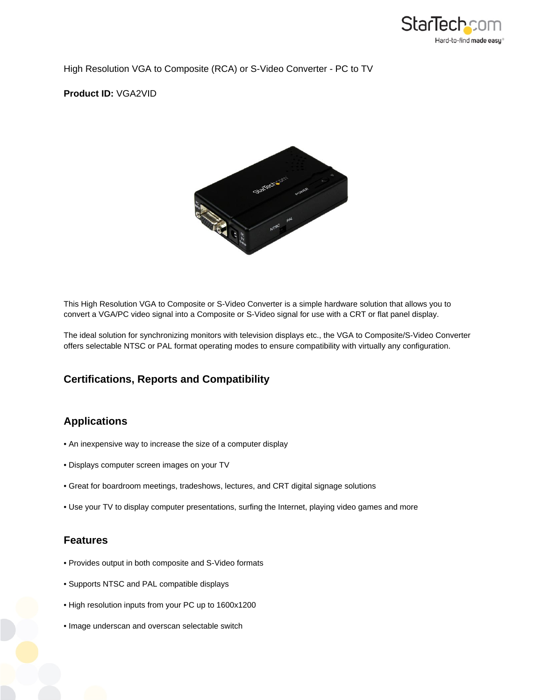

High Resolution VGA to Composite (RCA) or S-Video Converter - PC to TV

**Product ID:** VGA2VID



This High Resolution VGA to Composite or S-Video Converter is a simple hardware solution that allows you to convert a VGA/PC video signal into a Composite or S-Video signal for use with a CRT or flat panel display.

The ideal solution for synchronizing monitors with television displays etc., the VGA to Composite/S-Video Converter offers selectable NTSC or PAL format operating modes to ensure compatibility with virtually any configuration.

## **Certifications, Reports and Compatibility**

## **Applications**

- An inexpensive way to increase the size of a computer display
- Displays computer screen images on your TV
- Great for boardroom meetings, tradeshows, lectures, and CRT digital signage solutions
- Use your TV to display computer presentations, surfing the Internet, playing video games and more

## **Features**

- Provides output in both composite and S-Video formats
- Supports NTSC and PAL compatible displays
- High resolution inputs from your PC up to 1600x1200
- Image underscan and overscan selectable switch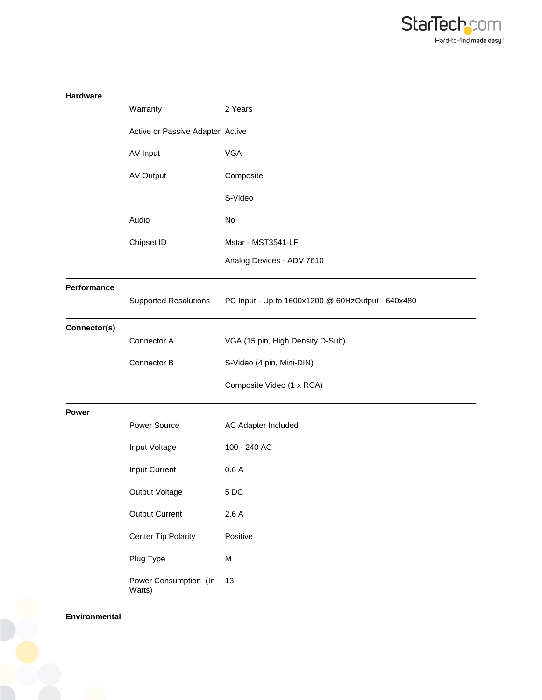

| Hardware     |                                  |                                                   |
|--------------|----------------------------------|---------------------------------------------------|
|              | Warranty                         | 2 Years                                           |
|              | Active or Passive Adapter Active |                                                   |
|              | AV Input                         | <b>VGA</b>                                        |
|              | AV Output                        | Composite                                         |
|              |                                  | S-Video                                           |
|              | Audio                            | No                                                |
|              | Chipset ID                       | Mstar - MST3541-LF                                |
|              |                                  | Analog Devices - ADV 7610                         |
| Performance  | <b>Supported Resolutions</b>     | PC Input - Up to 1600x1200 @ 60HzOutput - 640x480 |
| Connector(s) | Connector A                      | VGA (15 pin, High Density D-Sub)                  |
|              | Connector B                      | S-Video (4 pin, Mini-DIN)                         |
|              |                                  | Composite Video (1 x RCA)                         |
| <b>Power</b> |                                  |                                                   |
|              | Power Source                     | AC Adapter Included                               |
|              | Input Voltage                    | 100 - 240 AC                                      |
|              | Input Current                    | 0.6A                                              |
|              | Output Voltage                   | 5DC                                               |
|              | <b>Output Current</b>            | 2.6A                                              |
|              | <b>Center Tip Polarity</b>       | Positive                                          |
|              | Plug Type                        | M                                                 |
|              | Power Consumption (In<br>Watts)  | 13                                                |

**Environmental**